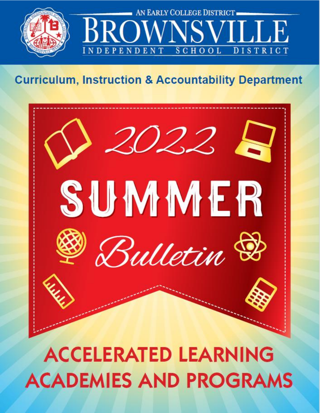

# **Curriculum, Instruction & Accountability Department**



# **ACCELERATED LEARNING ACADEMIES AND PROGRAMS**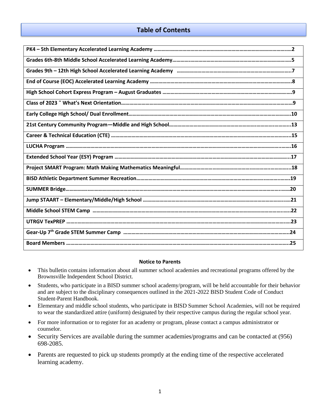#### **Table of Contents**

| <u> 1989 - Johann Barn, amerikansk politiker (d. 1989)</u>                                                            |
|-----------------------------------------------------------------------------------------------------------------------|
|                                                                                                                       |
|                                                                                                                       |
|                                                                                                                       |
|                                                                                                                       |
| <u> 1980 - Andrea Barbara, amerikana amerikana amerikana amerikana amerikana amerikana amerikana amerikana amerik</u> |
|                                                                                                                       |
|                                                                                                                       |
|                                                                                                                       |
|                                                                                                                       |
|                                                                                                                       |
|                                                                                                                       |

#### **Notice to Parents**

- This bulletin contains information about all summer school academies and recreational programs offered by the Brownsville Independent School District.
- Students, who participate in a BISD summer school academy/program, will be held accountable for their behavior and are subject to the disciplinary consequences outlined in the 2021-2022 BISD Student Code of Conduct Student-Parent Handbook.
- Elementary and middle school students, who participate in BISD Summer School Academies, will not be required to wear the standardized attire (uniform) designated by their respective campus during the regular school year.
- For more information or to register for an academy or program, please contact a campus administrator or counselor.
- Security Services are available during the summer academies/programs and can be contacted at (956) 698-2085.
- Parents are requested to pick up students promptly at the ending time of the respective accelerated learning academy.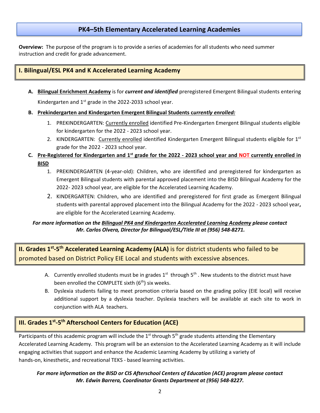#### **PK4–5th Elementary Accelerated Learning Academies**

**Overview:** The purpose of the program is to provide a series of academies for all students who need summer instruction and credit for grade advancement.

#### **I. Bilingual/ESL PK4 and K Accelerated Learning Academy**

**A. Bilingual Enrichment Academy** is for *current and identified* preregistered Emergent Bilingual students entering

Kindergarten and 1<sup>st</sup> grade in the 2022-2033 school year.

- **B. Prekindergarten and Kindergarten Emergent Bilingual Students c***urrently enrolled:*
	- 1. PREKINDERGARTEN: Currently enrolled identified Pre-Kindergarten Emergent Bilingual students eligible for kindergarten for the 2022 - 2023 school year.
	- 2. KINDERGARTEN: Currently enrolled identified Kindergarten Emergent Bilingual students eligible for 1st grade for the 2022 - 2023 school year.
- **C. Pre-Registered for Kindergarten and 1st grade for the 2022 - 2023 school year and NOT currently enrolled in BISD**
	- 1. PREKINDERGARTEN (4-year-old): Children, who are identified and preregistered for kindergarten as Emergent Bilingual students with parental approved placement into the BISD Bilingual Academy for the 2022- 2023 school year, are eligible for the Accelerated Learning Academy.
	- 2. KINDERGARTEN: Children, who are identified and preregistered for first grade as Emergent Bilingual students with parental approved placement into the Bilingual Academy for the 2022 - 2023 school year**,** are eligible for the Accelerated Learning Academy.

#### *For more information on the Bilingual PK4 and Kindergarten Accelerated Learning Academy please contact Mr. Carlos Olvera, Director for Bilingual/ESL/Title III at (956) 548-8271.*

**II. Grades 1<sup>st</sup>-5<sup>th</sup> Accelerated Learning Academy (ALA) is for district students who failed to be** promoted based on District Policy EIE Local and students with excessive absences.

- A. Currently enrolled students must be in grades  $1^{st}$  through  $5^{th}$  . New students to the district must have been enrolled the COMPLETE sixth  $(6<sup>th</sup>)$  six weeks.
- B. Dyslexia students failing to meet promotion criteria based on the grading policy (EIE local) will receive additional support by a dyslexia teacher. Dyslexia teachers will be available at each site to work in conjunction with ALA teachers.

#### **III. Grades 1st -5 th Afterschool Centers for Education (ACE)**

Participants of this academic program will include the 1<sup>st</sup> through 5<sup>th</sup> grade students attending the Elementary Accelerated Learning Academy. This program will be an extension to the Accelerated Learning Academy as it will include engaging activities that support and enhance the Academic Learning Academy by utilizing a variety of hands-on, kinesthetic, and recreational TEKS - based learning activities.

#### *For more information on the BISD or CIS Afterschool Centers of Education (ACE) program please contact Mr. Edwin Barrera, Coordinator Grants Department at (956) 548-8227.*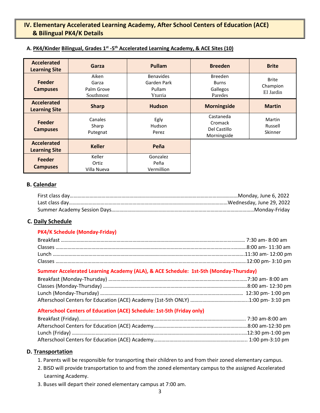#### **IV. Elementary Accelerated Learning Academy, After School Centers of Education (ACE) & Bilingual PK4/K Details**

| <b>Accelerated</b><br><b>Learning Site</b> | Garza                                     | <b>Pullam</b>                                        | <b>Breeden</b>                                        | <b>Brite</b>                          |
|--------------------------------------------|-------------------------------------------|------------------------------------------------------|-------------------------------------------------------|---------------------------------------|
| <b>Feeder</b><br><b>Campuses</b>           | Aiken<br>Garza<br>Palm Grove<br>Southmost | <b>Benavides</b><br>Garden Park<br>Pullam<br>Yturria | <b>Breeden</b><br><b>Burns</b><br>Gallegos<br>Paredes | <b>Brite</b><br>Champion<br>El Jardin |
| <b>Accelerated</b><br><b>Learning Site</b> | <b>Sharp</b>                              | <b>Hudson</b>                                        | <b>Morningside</b>                                    | <b>Martin</b>                         |
| Feeder<br><b>Campuses</b>                  | Canales<br>Sharp<br>Putegnat              | Egly<br>Hudson<br>Perez                              | Castaneda<br>Cromack<br>Del Castillo<br>Morningside   | Martin<br>Russell<br>Skinner          |
| <b>Accelerated</b><br><b>Learning Site</b> | <b>Keller</b>                             | Peña                                                 |                                                       |                                       |
| <b>Feeder</b><br><b>Campuses</b>           | Keller<br>Ortiz<br>Villa Nueva            | Gonzalez<br>Peña<br>Vermillion                       |                                                       |                                       |

#### **A. PK4/Kinder Bilingual, Grades 1st -5 th Accelerated Learning Academy, & ACE Sites (10)**

#### **B. Calendar**

#### **C. Daily Schedule**

#### **PK4/K Schedule (Monday-Friday)**

#### **Summer Accelerated Learning Academy (ALA), & ACE Schedule: 1st-5th (Monday-Thursday)**

#### **Afterschool Centers of Education (ACE) Schedule: 1st-5th (Friday only)**

#### **D. Transportation**

- 1. Parents will be responsible for transporting their children to and from their zoned elementary campus.
- 2. BISD will provide transportation to and from the zoned elementary campus to the assigned Accelerated Learning Academy.
- 3. Buses will depart their zoned elementary campus at 7:00 am.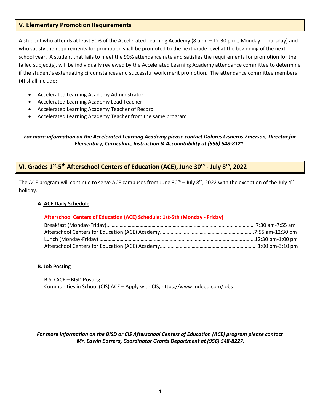#### **V. Elementary Promotion Requirements**

A student who attends at least 90% of the Accelerated Learning Academy (8 a.m. – 12:30 p.m., Monday - Thursday) and who satisfy the requirements for promotion shall be promoted to the next grade level at the beginning of the next school year. A student that fails to meet the 90% attendance rate and satisfies the requirements for promotion for the failed subject(s), will be individually reviewed by the Accelerated Learning Academy attendance committee to determine if the student's extenuating circumstances and successful work merit promotion. The attendance committee members (4) shall include:

- Accelerated Learning Academy Administrator
- Accelerated Learning Academy Lead Teacher
- Accelerated Learning Academy Teacher of Record
- Accelerated Learning Academy Teacher from the same program

#### *For more information on the Accelerated Learning Academy please contact Dolores Cisneros-Emerson, Director for Elementary, Curriculum, Instruction & Accountability at (956) 548-8121.*

#### **VI. Grades 1st -5 th Afterschool Centers of Education (ACE), June 30th - July 8th, 2022**

The ACE program will continue to serve ACE campuses from June  $30^{th}$  – July  $8^{th}$ , 2022 with the exception of the July  $4^{th}$ holiday.

#### **A. ACE Daily Schedule**

#### **Afterschool Centers of Education (ACE) Schedule: 1st-5th (Monday - Friday)**

#### **B. Job Posting**

 BISD ACE – BISD Posting Communities in School (CIS) ACE – Apply with CIS, https://www.indeed.com/jobs

#### *For more information on the BISD or CIS Afterschool Centers of Education (ACE) program please contact Mr. Edwin Barrera, Coordinator Grants Department at (956) 548-8227.*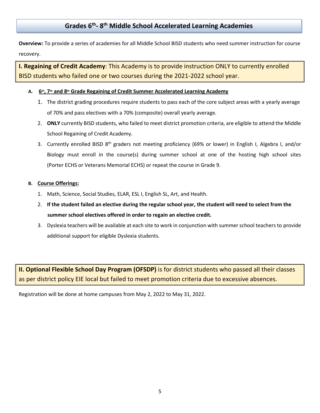# **Grades 6th - 8 th Middle School Accelerated Learning Academies**

**Overview:** To provide a series of academies for all Middle School BISD students who need summer instruction for course recovery.

**I. Regaining of Credit Academy**: This Academy is to provide instruction ONLY to currently enrolled BISD students who failed one or two courses during the 2021-2022 school year.

#### **A. 6th, 7th and 8th Grade Regaining of Credit Summer Accelerated Learning Academy**

- 1. The district grading procedures require students to pass each of the core subject areas with a yearly average of 70% and pass electives with a 70% (composite) overall yearly average.
- 2. **ONLY** currently BISD students, who failed to meet district promotion criteria, are eligible to attend the Middle School Regaining of Credit Academy.
- 3. Currently enrolled BISD 8<sup>th</sup> graders not meeting proficiency (69% or lower) in English I, Algebra I, and/or Biology must enroll in the course(s) during summer school at one of the hosting high school sites (Porter ECHS or Veterans Memorial ECHS) or repeat the course in Grade 9.

#### **B. Course Offerings:**

- 1. Math, Science, Social Studies, ELAR, ESL I, English SL, Art, and Health.
- 2. **If the student failed an elective during the regular school year, the student will need to select from the summer school electives offered in order to regain an elective credit.**
- 3. Dyslexia teachers will be available at each site to work in conjunction with summer school teachers to provide additional support for eligible Dyslexia students.

**II. Optional Flexible School Day Program (OFSDP)** is for district students who passed all their classes as per district policy EIE local but failed to meet promotion criteria due to excessive absences.

Registration will be done at home campuses from May 2, 2022 to May 31, 2022.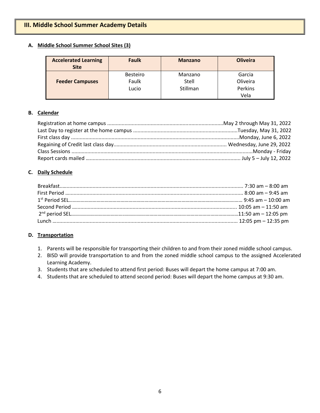# **III. Middle School Summer Academy Details**

#### **A. Middle School Summer School Sites (3)**

| <b>Accelerated Learning</b><br><b>Site</b> | <b>Faulk</b>             | <b>Manzano</b>   | <b>Oliveira</b>    |
|--------------------------------------------|--------------------------|------------------|--------------------|
| <b>Feeder Campuses</b>                     | <b>Besteiro</b><br>Faulk | Manzano<br>Stell | Garcia<br>Oliveira |
|                                            | Lucio                    | Stillman         | Perkins<br>Vela    |

#### **B. Calendar**

#### **C. Daily Schedule**

#### **D. Transportation**

- 1. Parents will be responsible for transporting their children to and from their zoned middle school campus.
- 2. BISD will provide transportation to and from the zoned middle school campus to the assigned Accelerated Learning Academy.
- 3. Students that are scheduled to attend first period: Buses will depart the home campus at 7:00 am.
- 4. Students that are scheduled to attend second period: Buses will depart the home campus at 9:30 am.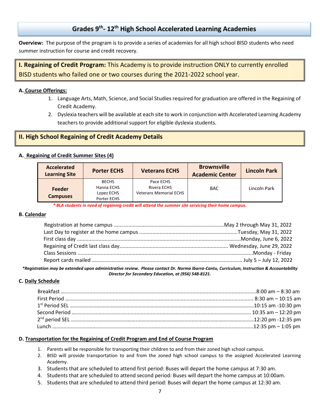# **Grades 9th - 12th High School Accelerated Learning Academies**

**Overview:** The purpose of the program is to provide a series of academies for all high school BISD students who need summer instruction for course and credit recovery.

# **I. Regaining of Credit Program:** This Academy is to provide instruction ONLY to currently enrolled BISD students who failed one or two courses during the 2021-2022 school year.

#### **A. Course Offerings:**

- 1. Language Arts, Math, Science, and Social Studies required for graduation are offered in the Regaining of Credit Academy.
- 2. Dyslexia teachers will be available at each site to work in conjunction with Accelerated Learning Academy teachers to provide additional support for eligible dyslexia students.

#### **II. High School Regaining of Credit Academy Details**

#### **A. Regaining of Credit Summer Sites (4)**

| Accelerated<br><b>Learning Site</b> | <b>Porter ECHS</b> | <b>Veterans ECHS</b>          | <b>Brownsville</b><br><b>Academic Center</b> | <b>Lincoln Park</b> |
|-------------------------------------|--------------------|-------------------------------|----------------------------------------------|---------------------|
|                                     | <b>BECHS</b>       | Pace ECHS                     |                                              |                     |
| Feeder                              | Hanna ECHS         | Rivera ECHS                   | <b>BAC</b>                                   | Lincoln Park        |
|                                     | Lopez ECHS         | <b>Veterans Memorial ECHS</b> |                                              |                     |
| <b>Campuses</b>                     | Porter ECHS        |                               |                                              |                     |

*\* BLA students in need of regainnig credit will attend the summer site servicing their home campus.*

#### **B. Calendar**

*\*Registration may be extended upon administrative review. Please contact Dr. Norma Ibarra-Cantu, Curriculum, Instruction & Accountability Director for Secondary Education, at (956) 548-8121.*

#### **C. Daily Schedule**

#### **D. Transportation for the Regaining of Credit Program and End of Course Program**

- 1. Parents will be responsible for transporting their children to and from their zoned high school campus.
- 2. BISD will provide transportation to and from the zoned high school campus to the assigned Accelerated Learning Academy.
- 3. Students that are scheduled to attend first period: Buses will depart the home campus at 7:30 am.
- 4. Students that are scheduled to attend second period: Buses will depart the home campus at 10:00am.
- 5. Students that are scheduled to attend third period: Buses will depart the home campus at 12:30 am.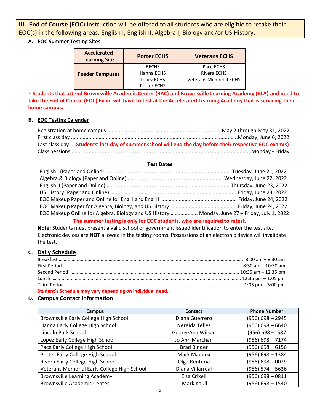**III. End of Course (EOC**) Instruction will be offered to all students who are eligible to retake their EOC(s) in the following areas: English I, English II, Algebra I, Biology and/or US History.

#### **A. EOC Summer Testing Sites**

| <b>Accelerated</b><br><b>Learning Site</b> | <b>Porter ECHS</b> | <b>Veterans ECHS</b>          |  |  |
|--------------------------------------------|--------------------|-------------------------------|--|--|
|                                            | <b>BECHS</b>       | Pace ECHS                     |  |  |
| <b>Feeder Campuses</b>                     | Hanna ECHS         | Rivera ECHS                   |  |  |
|                                            | Lopez ECHS         | <b>Veterans Memorial ECHS</b> |  |  |
|                                            | Porter ECHS        |                               |  |  |

 **Students that attend Brownsville Academic Center (BAC) and Brownsville Learning Academy (BLA) and need to take the End of Course (EOC) Exam will have to test at the Accelerated Learning Academy that is servicing their home campus.** 

#### **B. EOC Testing Calendar**

| Last class dayStudents' last day of summer school will end the day before their respective EOC exam(s) |  |
|--------------------------------------------------------------------------------------------------------|--|
|                                                                                                        |  |

#### **Test Dates**

| EOC Makeup Online for Algebra, Biology and US History  Monday, June 27 - Friday, July 1, 2022 |  |
|-----------------------------------------------------------------------------------------------|--|
|                                                                                               |  |

#### **The summer testing is only for EOC students, who are required to retest.**

**Note:** Students must present a valid school or government issued identification to enter the test site. Electronic devices are **NOT** allowed in the testing rooms. Possessions of an electronic device will invalidate the test.

#### **C. Daily Schedule**

| Student's Schedule may vary depending on individual need. |  |
|-----------------------------------------------------------|--|

#### **D. Campus Contact Information**

| Campus                                      | Contact            | <b>Phone Number</b> |
|---------------------------------------------|--------------------|---------------------|
| Brownsville Early College High School       | Diana Guerrero     | $(956) 698 - 2945$  |
| Hanna Early College High School             | Nereida Tellez     | $(956) 698 - 6640$  |
| Lincoln Park School                         | GeorgeAna Wilson   | (956) 698-1587      |
| Lopez Early College High School             | Jo Ann Marchan     | $(956) 698 - 7174$  |
| Pace Early College High School              | <b>Brad Binder</b> | $(956) 698 - 6156$  |
| Porter Early College High School            | Mark Maddox        | $(956) 698 - 1384$  |
| Rivera Early College High School            | Olga Renteria      | $(956) 698 - 0029$  |
| Veterans Memorial Early College High School | Diana Villarreal   | $(956) 574 - 5636$  |
| <b>Brownsville Learning Academy</b>         | Elsa Crixell       | $(956) 698 - 0811$  |
| <b>Brownsville Academic Center</b>          | Mark Kaull         | $(956) 698 - 1540$  |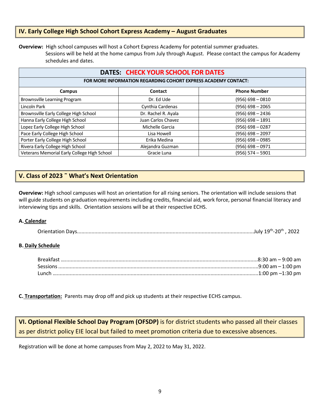#### **IV. Early College High School Cohort Express Academy – August Graduates**

**Overview:** High school campuses will host a Cohort Express Academy for potential summer graduates.

 Sessions will be held at the home campus from July through August. Please contact the campus for Academy schedules and dates.

#### **DATES: CHECK YOUR SCHOOL FOR DATES**

#### **FOR MORE INFORMATION REGARDING COHORT EXPRESS ACADEMY CONTACT:**

| Campus                                      | Contact             | <b>Phone Number</b> |
|---------------------------------------------|---------------------|---------------------|
| Brownsville Learning Program                | Dr. Ed Ude          | $(956) 698 - 0810$  |
| Lincoln Park                                | Cynthia Cardenas    | $(956)$ 698 - 2065  |
| Brownsville Early College High School       | Dr. Rachel R. Ayala | $(956)$ 698 - 2436  |
| Hanna Early College High School             | Juan Carlos Chavez  | $(956) 698 - 1891$  |
| Lopez Early College High School             | Michelle Garcia     | $(956) 698 - 0287$  |
| Pace Early College High School              | Lisa Howell         | $(956) 698 - 2097$  |
| Porter Early College High School            | Erika Medina        | $(956) 698 - 0985$  |
| Rivera Early College High School            | Alejandra Guzman    | (956) 698 – 0971    |
| Veterans Memorial Early College High School | Gracie Luna         | (956) 574 – 5901    |

#### **V. Class of 2023 ˜ What's Next Orientation**

**Overview:** High school campuses will host an orientation for all rising seniors. The orientation will include sessions that will guide students on graduation requirements including credits, financial aid, work force, personal financial literacy and interviewing tips and skills. Orientation sessions will be at their respective ECHS.

#### **A. Calendar**

|--|--|--|--|

#### **B. Daily Schedule**

| 1:00 pm –1:30 pm |
|------------------|

**C. Transportation:** Parents may drop off and pick up students at their respective ECHS campus.

**VI. Optional Flexible School Day Program (OFSDP)** is for district students who passed all their classes as per district policy EIE local but failed to meet promotion criteria due to excessive absences.

Registration will be done at home campuses from May 2, 2022 to May 31, 2022.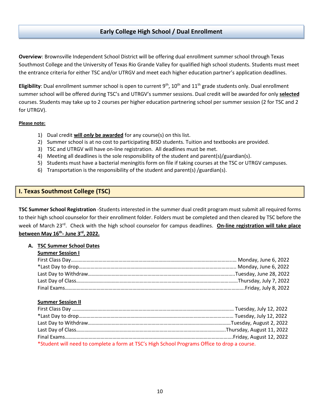#### **Early College High School / Dual Enrollment**

**Overview**: Brownsville Independent School District will be offering dual enrollment summer school through Texas Southmost College and the University of Texas Rio Grande Valley for qualified high school students. Students must meet the entrance criteria for either TSC and/or UTRGV and meet each higher education partner's application deadlines.

Eligibility: Dual enrollment summer school is open to current 9<sup>th</sup>, 10<sup>th</sup> and 11<sup>th</sup> grade students only. Dual enrollment summer school will be offered during TSC's and UTRGV's summer sessions. Dual credit will be awarded for only **selected** courses. Students may take up to 2 courses per higher education partnering school per summer session (2 for TSC and 2 for UTRGV).

#### **Please note:**

- 1) Dual credit **will** *only* **be awarded** for any course(s) on this list.
- 2) Summer school is at no cost to participating BISD students. Tuition and textbooks are provided.
- 3) TSC and UTRGV will have on-line registration. All deadlines must be met.
- 4) Meeting all deadlines is the sole responsibility of the student and parent(s)/guardian(s).
- 5) Students must have a bacterial meningitis form on file if taking courses at the TSC or UTRGV campuses.
- 6) Transportation is the responsibility of the student and parent(s) /guardian(s).

#### **I. Texas Southmost College (TSC)**

**TSC Summer School Registration** -Students interested in the summer dual credit program must submit all required forms to their high school counselor for their enrollment folder. Folders must be completed and then cleared by TSC before the week of March 23rd. Check with the high school counselor for campus deadlines. **On-line registration will take place between May 16th - June 3rd, 2022.**

#### **A. TSC Summer School Dates**

|  |  |  | <b>Summer Session I</b> |  |
|--|--|--|-------------------------|--|
|  |  |  |                         |  |

#### **Summer Session II**

| *Student will need to complete a form at TSC's High School Programs Office to drop a course. |  |  |  |  |
|----------------------------------------------------------------------------------------------|--|--|--|--|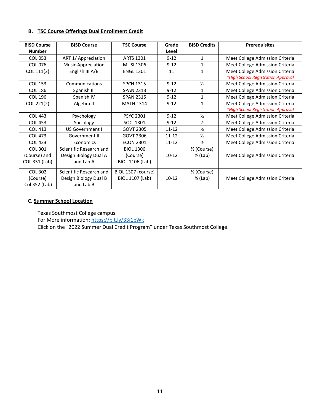#### **B. TSC Course Offerings Dual Enrollment Credit**

| <b>BISD Course</b><br><b>Number</b> | <b>BISD Course</b>        | <b>TSC Course</b>      | Grade<br>Level | <b>BISD Credits</b>      | <b>Prerequisites</b>               |
|-------------------------------------|---------------------------|------------------------|----------------|--------------------------|------------------------------------|
| <b>COL 053</b>                      | ART 1/ Appreciation       | <b>ARTS 1301</b>       | $9 - 12$       | 1                        | Meet College Admission Criteria    |
| <b>COL 076</b>                      | <b>Music Appreciation</b> | <b>MUSI 1306</b>       | $9 - 12$       | 1                        | Meet College Admission Criteria    |
| COL 111(2)                          | English III A/B           | <b>ENGL 1301</b>       | 11             | 1                        | Meet College Admission Criteria    |
|                                     |                           |                        |                |                          | *High School Registration Approval |
| <b>COL 153</b>                      | Communications            | <b>SPCH 1315</b>       | $9 - 12$       | $\frac{1}{2}$            | Meet College Admission Criteria    |
| <b>COL 186</b>                      | Spanish III               | <b>SPAN 2313</b>       | $9 - 12$       | 1                        | Meet College Admission Criteria    |
| <b>COL 196</b>                      | Spanish IV                | <b>SPAN 2315</b>       | $9 - 12$       | 1                        | Meet College Admission Criteria    |
| COL 221(2)                          | Algebra II                | <b>MATH 1314</b>       | $9 - 12$       | $\mathbf{1}$             | Meet College Admission Criteria    |
|                                     |                           |                        |                |                          | *High School Registration Approval |
| <b>COL 443</b>                      | Psychology                | <b>PSYC 2301</b>       | $9 - 12$       | $\frac{1}{2}$            | Meet College Admission Criteria    |
| <b>COL 453</b>                      | Sociology                 | <b>SOCI 1301</b>       | $9 - 12$       | $\frac{1}{2}$            | Meet College Admission Criteria    |
| <b>COL 413</b>                      | US Government I           | <b>GOVT 2305</b>       | $11 - 12$      | $\frac{1}{2}$            | Meet College Admission Criteria    |
| <b>COL 473</b>                      | Government II             | <b>GOVT 2306</b>       | $11 - 12$      | $\frac{1}{2}$            | Meet College Admission Criteria    |
| <b>COL 423</b>                      | Economics                 | <b>ECON 2301</b>       | $11 - 12$      | $\frac{1}{2}$            | Meet College Admission Criteria    |
| <b>COL 301</b>                      | Scientific Research and   | <b>BIOL 1306</b>       |                | 1/ <sub>2</sub> (Course) |                                    |
| (Course) and                        | Design Biology Dual A     | (Course)               | $10-12$        | $\frac{1}{2}$ (Lab)      | Meet College Admission Criteria    |
| COL 351 (Lab)                       | and Lab A                 | <b>BIOL 1106 (Lab)</b> |                |                          |                                    |
| <b>COL 302</b>                      | Scientific Research and   | BIOL 1307 (course)     |                | 1/ <sub>2</sub> (Course) |                                    |
| (Course)                            | Design Biology Dual B     | <b>BIOL 1107 (Lab)</b> | $10-12$        | $\frac{1}{2}$ (Lab)      | Meet College Admission Criteria    |
| Col 352 (Lab)                       | and Lab B                 |                        |                |                          |                                    |

#### **C. Summer School Location**

Texas Southmost College campus

For More information[: https://bit.ly/33i1bWk](https://bit.ly/33i1bWk)

Click on the "2022 Summer Dual Credit Program" under Texas Southmost College.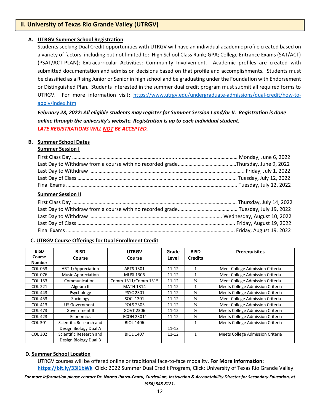#### **II. University of Texas Rio Grande Valley (UTRGV)**

#### **A. UTRGV Summer School Registration**

Students seeking Dual Credit opportunities with UTRGV will have an individual academic profile created based on a variety of factors, including but not limited to: High School Class Rank; GPA; College Entrance Exams (SAT/ACT) (PSAT/ACT-PLAN); Extracurricular Activities: Community Involvement. Academic profiles are created with submitted documentation and admission decisions based on that profile and accomplishments. Students must be classified as a Rising Junior or Senior in high school and be graduating under the Foundation with Endorsement or Distinguished Plan. Students interested in the summer dual credit program must submit all required forms to UTRGV. For more information visit: [https://www.utrgv.edu/undergraduate-admissions/dual-credit/how-to](https://www.utrgv.edu/undergraduate-admissions/dual-credit/how-to-apply/index.htm)[apply/index.htm](https://www.utrgv.edu/undergraduate-admissions/dual-credit/how-to-apply/index.htm)

*February 28, 2022: All eligible students may register for Summer Session I and/or II. Registration is done online through the university's website. Registration is up to each individual student. LATE REGISTRATIONS WILL NOT BE ACCEPTED.*

#### **B. Summer School Dates**

#### **Summer Session I**

| <b>Summer Session II</b> |  |
|--------------------------|--|
|                          |  |
|                          |  |
|                          |  |
|                          |  |
|                          |  |

#### **C. UTRGV Course Offerings for Dual Enrollment Credit**

| <b>BISD</b>    | <b>BISD</b>               | <b>UTRGV</b>        | Grade     | <b>BISD</b>    | <b>Prerequisites</b>                    |
|----------------|---------------------------|---------------------|-----------|----------------|-----------------------------------------|
| Course         | Course                    | Course              | Level     | <b>Credits</b> |                                         |
| <b>Number</b>  |                           |                     |           |                |                                         |
| COL 053        | ART 1/Appreciation        | <b>ARTS 1301</b>    | $11 - 12$ |                | Meet College Admission Criteria         |
| COL 076        | <b>Music Appreciation</b> | <b>MUSI 1306</b>    | $11 - 12$ |                | Meet College Admission Criteria         |
| <b>COL 153</b> | Communications            | Comm 1311/Comm 1315 | $11 - 12$ | $\frac{1}{2}$  | Meet College Admission Criteria         |
| <b>COL 221</b> | Algebra II                | <b>MATH 1314</b>    | $11 - 12$ | 1              | Meets College Admission Criteria        |
| <b>COL 443</b> | Psychology                | <b>PSYC 2301</b>    | $11 - 12$ | $\frac{1}{2}$  | Meets College Admission Criteria        |
| <b>COL 453</b> | Sociology                 | <b>SOCI 1301</b>    | $11 - 12$ | $\frac{1}{2}$  | Meet College Admission Criteria         |
| <b>COL 413</b> | US Government I           | <b>POLS 2305</b>    | $11 - 12$ | $\frac{1}{2}$  | Meet College Admission Criteria         |
| <b>COL 473</b> | Government II             | GOVT 2306           | $11 - 12$ | $\frac{1}{2}$  | Meets College Admission Criteria        |
| <b>COL 423</b> | Economics                 | <b>ECON 2301</b>    | $11 - 12$ | $\frac{1}{2}$  | Meets College Admission Criteria        |
| COL 301        | Scientific Research and   | <b>BIOL 1406</b>    |           | $\mathbf{1}$   | <b>Meets College Admission Criteria</b> |
|                | Design Biology Dual A     |                     | $11 - 12$ |                |                                         |
| COL 302        | Scientific Research and   | <b>BIOL 1407</b>    | $11 - 12$ | 1              | Meets College Admission Criteria        |
|                | Design Biology Dual B     |                     |           |                |                                         |

#### **D. Summer School Location**

UTRGV courses will be offered online or traditional face-to-face modality. **For More information: <https://bit.ly/33i1bWk>** Click: 2022 Summer Dual Credit Program, Click: University of Texas Rio Grande Valley.

*For more information please contact Dr. Norma Ibarra-Cantu, Curriculum, Instruction & Accountability Director for Secondary Education, at (956) 548-8121.*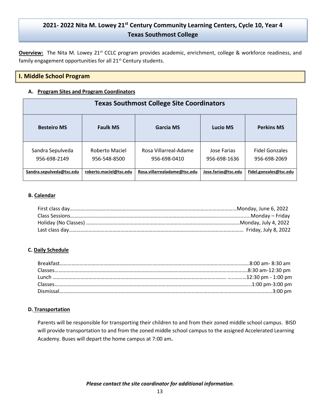# **2021- 2022 Nita M. Lowey 21st Century Community Learning Centers, Cycle 10, Year 4 Texas Southmost College**

**Overview:** The Nita M. Lowey 21<sup>st</sup> CCLC program provides academic, enrichment, college & workforce readiness, and family engagement opportunities for all 21<sup>st</sup> Century students.

#### **I. Middle School Program**

#### **A. Program Sites and Program Coordinators**

| <b>Texas Southmost College Site Coordinators</b> |                                |                                       |                             |                                       |  |
|--------------------------------------------------|--------------------------------|---------------------------------------|-----------------------------|---------------------------------------|--|
| <b>Besteiro MS</b>                               | <b>Faulk MS</b>                | Garcia MS                             | Lucio MS                    | <b>Perkins MS</b>                     |  |
| Sandra Sepulveda<br>956-698-2149                 | Roberto Maciel<br>956-548-8500 | Rosa Villarreal-Adame<br>956-698-0410 | Jose Farias<br>956-698-1636 | <b>Fidel Gonzales</b><br>956-698-2069 |  |
| Sandra.sepulveda@tsc.edu                         | roberto.maciel@tsc.edu         | Rosa.villarrealadame@tsc.edu          | Jose.farias@tsc.edu         | Fidel.gonzales@tsc.edu                |  |

#### **B. Calendar**

#### **C. Daily Schedule**

#### **D. Transportation**

Parents will be responsible for transporting their children to and from their zoned middle school campus. BISD will provide transportation to and from the zoned middle school campus to the assigned Accelerated Learning Academy. Buses will depart the home campus at 7:00 am**.**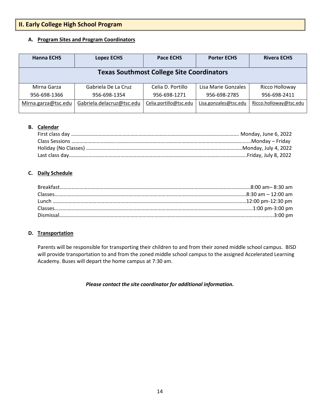# **II. Early College High School Program**

#### **A. Program Sites and Program Coordinators**

| <b>Hanna ECHS</b>   | <b>Lopez ECHS</b>         | <b>Pace ECHS</b>                                 | <b>Porter ECHS</b>    | <b>Rivera ECHS</b>     |
|---------------------|---------------------------|--------------------------------------------------|-----------------------|------------------------|
|                     |                           | <b>Texas Southmost College Site Coordinators</b> |                       |                        |
| Mirna Garza         | Gabriela De La Cruz       | Celia D. Portillo                                | Lisa Marie Gonzales   | Ricco Holloway         |
| 956-698-1366        | 956-698-1354              | 956-698-1271                                     | 956-698-2785          | 956-698-2411           |
| Mirna.garza@tsc.edu | Gabriela.delacruz@tsc.edu | Celia.portillo@tsc.edu                           | Lisa.gonzales@tsc.edu | Ricco.holloway@tsc.edu |

#### **B. Calendar**

#### **C. Daily Schedule**

#### **D. Transportation**

Parents will be responsible for transporting their children to and from their zoned middle school campus. BISD will provide transportation to and from the zoned middle school campus to the assigned Accelerated Learning Academy. Buses will depart the home campus at 7:30 am.

#### *Please contact the site coordinator for additional information.*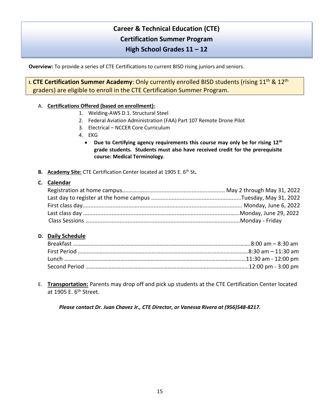# **Career & Technical Education (CTE) Certification Summer Program High School Grades 11 – 12**

**Overview:** To provide a series of CTE Certifications to current BISD rising juniors and seniors.

**I. CTE Certification Summer Academy**: Only currently enrolled BISD students (rising 11<sup>th</sup> & 12<sup>th</sup> graders) are eligible to enroll in the CTE Certification Summer Program.

#### A. **Certifications Offered (based on enrollment):**

- 1. Welding-AWS D.1. Structural Steel
- 2. Federal Aviation Administration (FAA) Part 107 Remote Drone Pilot
- 3. Electrical NCCER Core Curriculum
- 4. EKG
	- **Due to Certifying agency requirements this course may only be for rising 12th grade students. Students must also have received credit for the prerequisite course: Medical Terminology**.
- **B. Academy Site:** CTE Certification Center located at 1905 E. 6th St**.**

#### **C. Calendar**

#### **D. Daily Schedule**

E. **Transportation:** Parents may drop off and pick up students at the CTE Certification Center located at 1905 E. 6<sup>th</sup> Street.

*Please contact Dr. Juan Chavez Jr., CTE Director, or Vanessa Rivera at (956)548-8217.*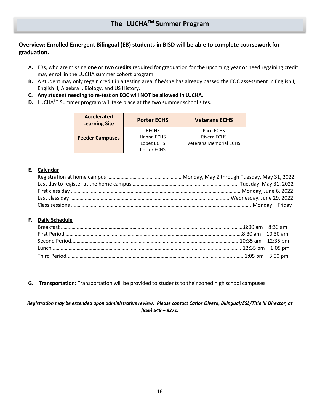#### **Overview: Enrolled Emergent Bilingual (EB) students in BISD will be able to complete coursework for graduation.**

- **A.** EBs, who are missing **one or two credits** required for graduation for the upcoming year or need regaining credit may enroll in the LUCHA summer cohort program.
- **B.** A student may only regain credit in a testing area if he/she has already passed the EOC assessment in English I, English II, Algebra I, Biology, and US History.
- **C. Any student needing to re-test on EOC will NOT be allowed in LUCHA.**
- **D.** LUCHA<sup>™</sup> Summer program will take place at the two summer school sites.

| <b>Accelerated</b><br><b>Learning Site</b> | <b>Porter ECHS</b>         | <b>Veterans ECHS</b>          |  |
|--------------------------------------------|----------------------------|-------------------------------|--|
|                                            | <b>BECHS</b><br>Hanna ECHS | Pace ECHS<br>Rivera ECHS      |  |
| <b>Feeder Campuses</b>                     | Lopez ECHS                 | <b>Veterans Memorial ECHS</b> |  |
|                                            | Porter ECHS                |                               |  |

#### **E. Calendar**

#### **F. Daily Schedule**

**G. Transportation:** Transportation will be provided to students to their zoned high school campuses.

*Registration may be extended upon administrative review. Please contact Carlos Olvera, Bilingual/ESL/Title III Director, at (956) 548 – 8271.*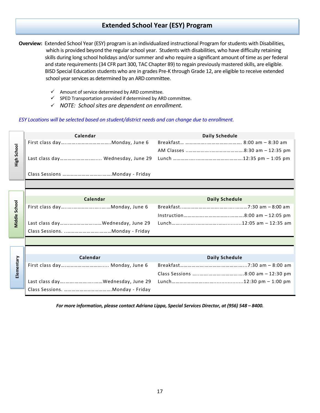# **Extended School Year (ESY) Program**

**Overview:** Extended School Year (ESY) program is an individualized instructional Program for students with Disabilities, which is provided beyond the regular school year. Students with disabilities, who have difficulty retaining skills during long school holidays and/or summer and who require a significant amount of time as per federal and state requirements(34 CFR part 300, TAC Chapter 89) to regain previously mastered skills, are eligible. BISD Special Education students who are in grades Pre-K through Grade 12, are eligible to receive extended school year services as determined by an ARD committee.

- $\checkmark$  Amount of service determined by ARD committee.
- $\checkmark$  SPED Transportation provided if determined by ARD committee.
- ✓ *NOTE: School sites are dependent on enrollment.*

#### *ESY Locations will be selected based on student/district needs and can change due to enrollment.*



*For more information, please contact Adriana Lippa, Special Services Director, at (956) 548 – 8400.*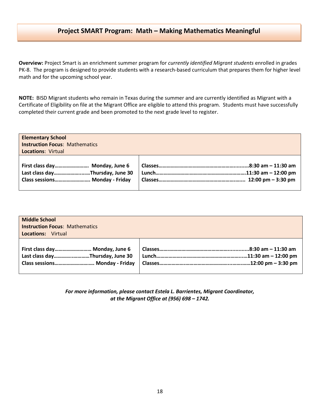### **Project SMART Program: Math – Making Mathematics Meaningful**

**Overview:** Project Smart is an enrichment summer program for *currently identified Migrant students* enrolled in grades PK-8. The program is designed to provide students with a research-based curriculum that prepares them for higher level math and for the upcoming school year.

**NOTE:** BISD Migrant students who remain in Texas during the summer and are currently identified as Migrant with a Certificate of Eligibility on file at the Migrant Office are eligible to attend this program. Students must have successfully completed their current grade and been promoted to the next grade level to register.

| <b>Elementary School</b>                                                                            |  |  |
|-----------------------------------------------------------------------------------------------------|--|--|
| <b>Instruction Focus: Mathematics</b>                                                               |  |  |
| <b>Locations: Virtual</b>                                                                           |  |  |
| First class day Monday, June 6<br>Last class dayThursday, June 30<br>Class sessions Monday - Friday |  |  |

| <b>Middle School</b><br><b>Instruction Focus: Mathematics</b><br><b>Locations: Virtual</b> |  |
|--------------------------------------------------------------------------------------------|--|
| First class day Monday, June 6                                                             |  |
| Last class dayThursday, June 30                                                            |  |
| Class sessions Monday - Friday                                                             |  |

*For more information, please contact Estela L. Barrientes, Migrant Coordinator, at the Migrant Office at (956) 698 – 1742.*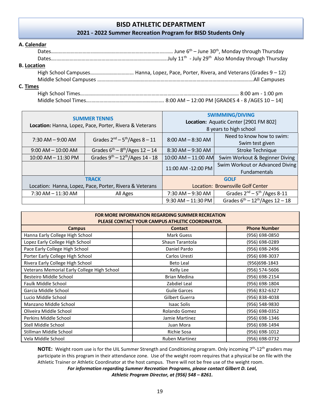# **BISD ATHLETIC DEPARTMENT**

**2021 - 2022 Summer Recreation Program for BISD Students Only**

#### **A. Calendar**

| <b>B. Location</b> |  |
|--------------------|--|
|                    |  |
|                    |  |
| C. Times           |  |
|                    |  |
|                    |  |

| <b>SUMMER TENNIS</b><br>Location: Hanna, Lopez, Pace, Porter, Rivera & Veterans |                                                | <b>SWIMMING/DIVING</b><br>Location: Aquatic Center [2901 FM 802]<br>8 years to high school |                                                        |  |
|---------------------------------------------------------------------------------|------------------------------------------------|--------------------------------------------------------------------------------------------|--------------------------------------------------------|--|
| $7:30$ AM $-9:00$ AM                                                            | Grades $2nd – 5th/Ages 8 – 11$                 | $8:00$ AM $-8:30$ AM                                                                       | Need to know how to swim:<br>Swim test given           |  |
| $9:00$ AM $- 10:00$ AM                                                          | Grades $6^{th} - 8^{th}/Ages$ 12 - 14          | 8:30 AM - 9:30 AM                                                                          | <b>Stroke Technique</b>                                |  |
| 10:00 AM - 11:30 PM                                                             | Grades $9^{th} - 12^{th}/\text{Ages } 14 - 18$ | 10:00 AM - 11:00 AM                                                                        | Swim Workout & Beginner Diving                         |  |
|                                                                                 |                                                | 11:00 AM -12:00 PM                                                                         | Swim Workout or Advanced Diving<br><b>Fundamentals</b> |  |
| <b>TRACK</b>                                                                    |                                                | <b>GOLF</b>                                                                                |                                                        |  |
| Location: Hanna, Lopez, Pace, Porter, Rivera & Veterans                         |                                                | Location: Brownsville Golf Center                                                          |                                                        |  |
| $7:30$ AM $- 11:30$ AM                                                          | All Ages                                       | $7:30$ AM $-9:30$ AM                                                                       | Grades $2^{nd}$ – 5 <sup>th</sup> /Ages 8-11           |  |
|                                                                                 |                                                | $9:30$ AM $- 11:30$ PM                                                                     | Grades $6^{th} - 12^{th}/\text{Ages } 12 - 18$         |  |

| <b>FOR MORE INFORMATION REGARDING SUMMER RECREATION</b><br>PLEASE CONTACT YOUR CAMPUS ATHLETIC COORDINATOR. |                       |                     |
|-------------------------------------------------------------------------------------------------------------|-----------------------|---------------------|
| <b>Campus</b>                                                                                               | <b>Contact</b>        | <b>Phone Number</b> |
| Hanna Early College High School                                                                             | <b>Mark Guess</b>     | (956) 698-0850      |
| Lopez Early College High School                                                                             | Shaun Tarantola       | (956) 698-0289      |
| Pace Early College High School                                                                              | Daniel Pardo          | (956) 698-2496      |
| Porter Early College High School                                                                            | Carlos Uresti         | (956) 698-3037      |
| Rivera Early College High School                                                                            | <b>Beto Leal</b>      | (956)698-1843       |
| Veterans Memorial Early College High School                                                                 | Kelly Lee             | (956) 574-5606      |
| Besteiro Middle School                                                                                      | <b>Brian Medina</b>   | (956) 698-2154      |
| Faulk Middle School                                                                                         | Zabdiel Leal          | (956) 698-1804      |
| Garcia Middle School                                                                                        | <b>Guile Garces</b>   | (956) 832-6327      |
| Lucio Middle School                                                                                         | Gilbert Guerra        | (956) 838-4038      |
| Manzano Middle School                                                                                       | <b>Isaac Solis</b>    | (956) 548-9830      |
| Oliveira Middle School                                                                                      | Rolando Gomez         | (956) 698-0352      |
| Perkins Middle School                                                                                       | Jamie Martinez        | (956) 698-1346      |
| Stell Middle School                                                                                         | Juan Mora             | (956) 698-1494      |
| Stillman Middle School                                                                                      | Richie Sosa           | (956) 698-1012      |
| Vela Middle School                                                                                          | <b>Ruben Martinez</b> | (956) 698-0732      |

**NOTE:** Weight room use is for the UIL Summer Strength and Conditioning program. Only incoming 7<sup>th</sup>-12<sup>th</sup> graders may participate in this program in their attendance zone. Use of the weight room requires that a physical be on file with the Athletic Trainer or Athletic Coordinator at the host campus. There will not be free use of the weight room.

> *For information regarding Summer Recreation Programs, please contact Gilbert D. Leal, Athletic Program Director, at (956) 548 – 8261.*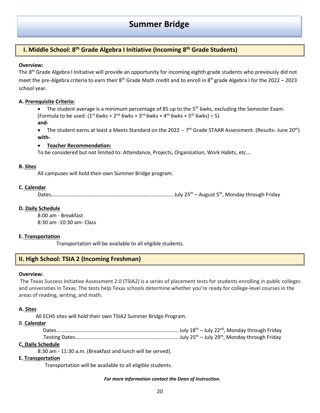# **Summer Bridge**

# **I. Middle School: 8 th Grade Algebra I Initiative (Incoming 8 th Grade Students)**

#### **Overview:**

The 8<sup>th</sup> Grade Algebra I Initiative will provide an opportunity for incoming eighth grade students who previously did not meet the pre-Algebra criteria to earn their 8<sup>th</sup> Grade Math credit and to enroll in 8<sup>th</sup> grade Algebra I for the 2022 – 2023 school year.

#### **A. Prerequisite Criteria:**

• The student average is a minimum percentage of 85 up to the 5<sup>th</sup> 6wks, excluding the Semester Exam. (Formula to be used:  $(1^{st}$  6wks +  $2^{nd}$  6wks +  $3^{rd}$  6wks +  $4^{th}$  6wks +  $5^{th}$  6wks) ÷ 5) **and-**

• The student earns at least a Meets Standard on the 2022 -- 7<sup>th</sup> Grade STAAR Assessment. (Results- June 20<sup>th</sup>) **with-**

#### • **Teacher Recommendation:**

To be considered but not limited to: Attendance, Projects, Organization, Work Habits, etc.…

#### **B. Sites**

All campuses will hold their own Summer Bridge program.

#### **C. Calendar**

Dates………………………….…………………………………………….……… July 25th – August 5th, Monday through Friday

#### **D. Daily Schedule**

8:00 am - Breakfast 8:30 am -10:30 am- Class

#### **E. Transportation**

Transportation will be available to all eligible students.

#### **II. High School: TSIA 2 (Incoming Freshman)**

#### **Overview:**

The Texas Success Initiative Assessment 2.0 (TSIA2) is a series of placement tests for students enrolling in public colleges and universities in Texas. The tests help Texas schools determine whether you're ready for college-level courses in the areas of reading, writing, and math.

#### **A. Sites**

All ECHS sites will hold their own TSIA2 Summer Bridge Program.

#### B. **Calendar**

#### **C. Daily Schedule**

8:30 am - 11:30 a.m. (Breakfast and lunch will be served).

#### **E. Transportation**

Transportation will be available to all eligible students.

#### *For more information contact the Dean of Instruction.*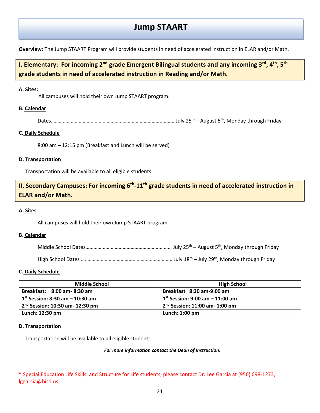# **Jump STAART**

**Overview:** The Jump STAART Program will provide students in need of accelerated instruction in ELAR and/or Math.

# **I. Elementary: For incoming 2nd grade Emergent Bilingual students and any incoming 3rd, 4th, 5th grade students in need of accelerated instruction in Reading and/or Math.**

#### **A. Sites:**

All campuses will hold their own Jump STAART program.

#### **B. Calendar**

Dates………………………….……………………………………………..……… July 25th – August 5th, Monday through Friday

#### **C. Daily Schedule**

8:00 am – 12:15 pm (Breakfast and Lunch will be served)

#### **D. Transportation**

Transportation will be available to all eligible students.

**II. Secondary Campuses: For incoming 6th -11th grade students in need of accelerated instruction in ELAR and/or Math.** 

#### **A. Sites**

All campuses will hold their own Jump STAART program.

#### **B. Calendar**

High School Dates ………………………………….…………………………July 18th – July 29th, Monday through Friday

#### **C. Daily Schedule**

| <b>Middle School</b>              | <b>High School</b>                |
|-----------------------------------|-----------------------------------|
| Breakfast: 8:00 am - 8:30 am      | Breakfast 8:30 am-9:00 am         |
| $1st$ Session: 8:30 am – 10:30 am | $1st$ Session: 9:00 am – 11:00 am |
| $2nd$ Session: 10:30 am- 12:30 pm | $2nd$ Session: 11:00 am- 1:00 pm  |
| Lunch: 12:30 pm                   | Lunch: $1:00$ pm                  |

#### **D. Transportation**

Transportation will be available to all eligible students.

#### *For more information contact the Dean of Instruction.*

\* Special Education Life Skills, and Structure for Life students, please contact Dr. Lee Garcia at (956) 698-1273, lggarcia@bisd.us.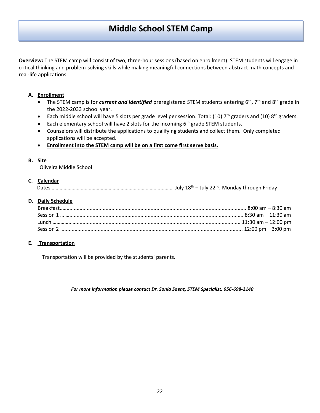**Overview:** The STEM camp will consist of two, three-hour sessions (based on enrollment). STEM students will engage in critical thinking and problem-solving skills while making meaningful connections between abstract math concepts and real-life applications.

#### **A. Enrollment**

- The STEM camp is for *current and identified* preregistered STEM students entering 6<sup>th</sup>, 7<sup>th</sup> and 8<sup>th</sup> grade in the 2022-2033 school year.
- Each middle school will have 5 slots per grade level per session. Total: (10)  $7<sup>th</sup>$  graders and (10)  $8<sup>th</sup>$  graders.
- Each elementary school will have 2 slots for the incoming  $6<sup>th</sup>$  grade STEM students.
- Counselors will distribute the applications to qualifying students and collect them. Only completed applications will be accepted.
- **Enrollment into the STEM camp will be on a first come first serve basis.**

#### **B. Site**

Oliveira Middle School

#### **C. Calendar**

|--|--|--|--|--|

#### **D. Daily Schedule**

#### **E. Transportation**

Transportation will be provided by the students' parents.

*For more information please contact Dr. Sonia Saenz, STEM Specialist, 956-698-2140*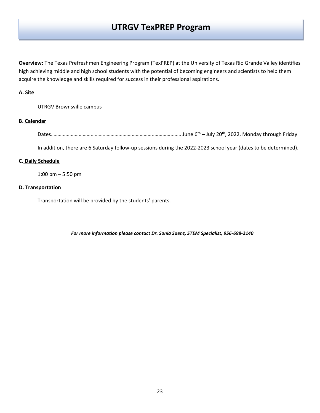# **UTRGV TexPREP Program**

**Overview:** The Texas Prefreshmen Engineering Program (TexPREP) at the University of Texas Rio Grande Valley identifies high achieving middle and high school students with the potential of becoming engineers and scientists to help them acquire the knowledge and skills required for success in their professional aspirations.

#### **A. Site**

UTRGV Brownsville campus

#### **B. Calendar**

Dates………………………….………………………………………..…………..…… June 6th – July 20th, 2022, Monday through Friday

In addition, there are 6 Saturday follow-up sessions during the 2022-2023 school year (dates to be determined).

#### **C. Daily Schedule**

1:00 pm – 5:50 pm

#### **D. Transportation**

Transportation will be provided by the students' parents.

*For more information please contact Dr. Sonia Saenz, STEM Specialist, 956-698-2140*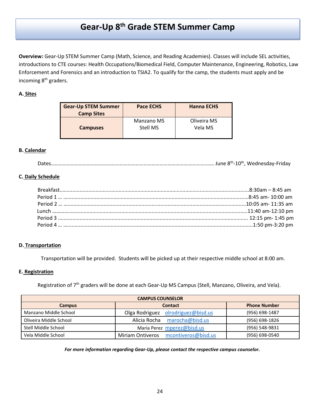# **Gear-Up 8th Grade STEM Summer Camp**

**Overview:** Gear-Up STEM Summer Camp (Math, Science, and Reading Academies). Classes will include SEL activities, introductions to CTE courses: Health Occupations/Biomedical Field, Computer Maintenance, Engineering, Robotics, Law Enforcement and Forensics and an introduction to TSIA2. To qualify for the camp, the students must apply and be incoming 8th graders.

#### **A. Sites**

| <b>Gear-Up STEM Summer</b><br><b>Camp Sites</b> | <b>Pace ECHS</b>              | <b>Hanna ECHS</b>      |
|-------------------------------------------------|-------------------------------|------------------------|
| <b>Campuses</b>                                 | <b>Manzano MS</b><br>Stell MS | Oliveira MS<br>Vela MS |

#### **B. Calendar**

|--|--|--|

#### **C. Daily Schedule**

#### **D. Transportation**

Transportation will be provided. Students will be picked up at their respective middle school at 8:00 am.

#### **E. Registration**

Registration of 7<sup>th</sup> graders will be done at each Gear-Up MS Campus (Stell, Manzano, Oliveira, and Vela).

| <b>CAMPUS COUNSELOR</b> |                                                |                     |  |
|-------------------------|------------------------------------------------|---------------------|--|
| <b>Campus</b>           | <b>Contact</b>                                 | <b>Phone Number</b> |  |
| Manzano Middle School   | olrodriguez@bisd.us<br>Olga Rodriguez          | (956) 698-1487      |  |
| Oliveira Middle School  | Alicia Rocha<br>marocha@bisd.us                | (956) 698-1826      |  |
| Stell Middle School     | Maria Perez mperez@bisd.us                     | (956) 548-9831      |  |
| Vela Middle School      | mcontiveros@bisd.us<br><b>Miriam Ontiveros</b> | (956) 698-0540      |  |

*For more information regarding Gear-Up, please contact the respective campus counselor.*